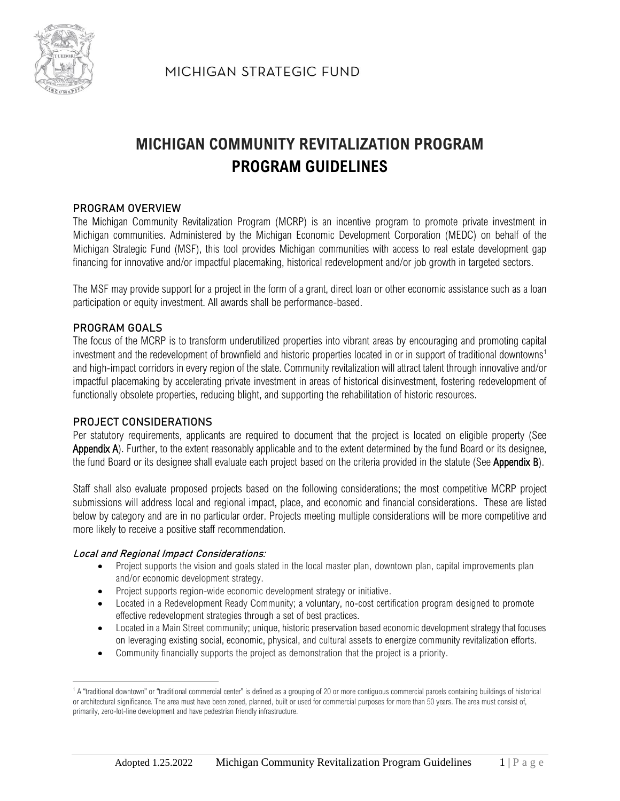

MICHIGAN STRATEGIC FUND

# **MICHIGAN COMMUNITY REVITALIZATION PROGRAM PROGRAM GUIDELINES**

## **PROGRAM OVERVIEW**

The Michigan Community Revitalization Program (MCRP) is an incentive program to promote private investment in Michigan communities. Administered by the Michigan Economic Development Corporation (MEDC) on behalf of the Michigan Strategic Fund (MSF), this tool provides Michigan communities with access to real estate development gap financing for innovative and/or impactful placemaking, historical redevelopment and/or job growth in targeted sectors.

The MSF may provide support for a project in the form of a grant, direct loan or other economic assistance such as a loan participation or equity investment. All awards shall be performance-based.

#### **PROGRAM GOALS**

The focus of the MCRP is to transform underutilized properties into vibrant areas by encouraging and promoting capital investment and the redevelopment of brownfield and historic properties located in or in support of traditional downtowns<sup>1</sup> and high-impact corridors in every region of the state. Community revitalization will attract talent through innovative and/or impactful placemaking by accelerating private investment in areas of historical disinvestment, fostering redevelopment of functionally obsolete properties, reducing blight, and supporting the rehabilitation of historic resources.

#### **PROJECT CONSIDERATIONS**

Per statutory requirements, applicants are required to document that the project is located on eligible property (See Appendix A). Further, to the extent reasonably applicable and to the extent determined by the fund Board or its designee, the fund Board or its designee shall evaluate each project based on the criteria provided in the statute (See Appendix B).

Staff shall also evaluate proposed projects based on the following considerations; the most competitive MCRP project submissions will address local and regional impact, place, and economic and financial considerations. These are listed below by category and are in no particular order. Projects meeting multiple considerations will be more competitive and more likely to receive a positive staff recommendation.

#### **Local and Regional Impact Considerations:**

- Project supports the vision and goals stated in the local master plan, downtown plan, capital improvements plan and/or economic development strategy.
- Project supports region-wide economic development strategy or initiative.
- Located in a Redevelopment Ready Community; a voluntary, no-cost certification program designed to promote effective redevelopment strategies through a set of best practices.
- Located in a Main Street community; unique, historic preservation based economic development strategy that focuses on leveraging existing social, economic, physical, and cultural assets to energize community revitalization efforts.
- Community financially supports the project as demonstration that the project is a priority.

<sup>&</sup>lt;sup>1</sup> A "traditional downtown" or "traditional commercial center" is defined as a grouping of 20 or more contiguous commercial parcels containing buildings of historical or architectural significance. The area must have been zoned, planned, built or used for commercial purposes for more than 50 years. The area must consist of, primarily, zero-lot-line development and have pedestrian friendly infrastructure.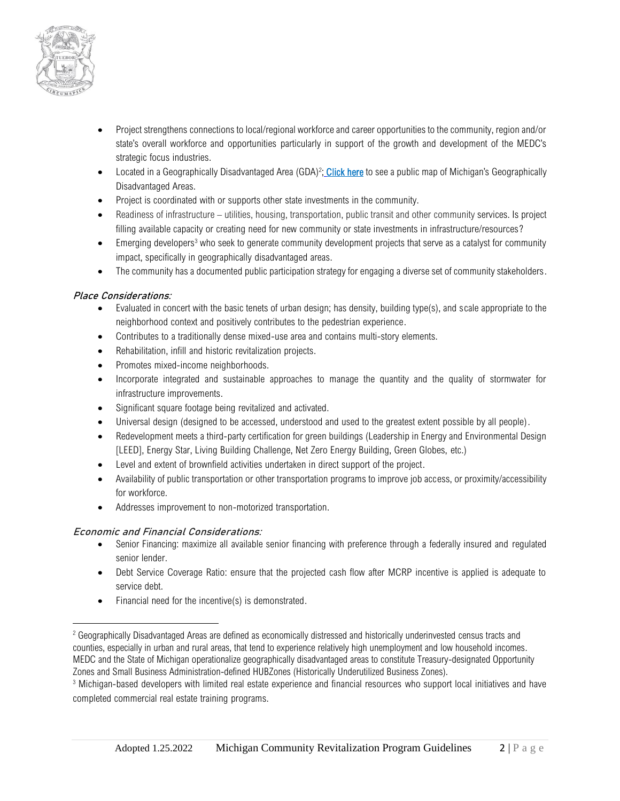

- Project strengthens connections to local/regional workforce and career opportunities to the community, region and/or state's overall workforce and opportunities particularly in support of the growth and development of the MEDC's strategic focus industries.
- Located in a Geographically Disadvantaged Area (GDA)<sup>2</sup>; [Click here](https://www.arcgis.com/home/webmap/viewer.html?webmap=d2f96fbb11cc49169de85cb577278e4b&extent=-92.3919,41.4161,-76.1651,47.8704) to see a public map of Michigan's Geographically Disadvantaged Areas.
- Project is coordinated with or supports other state investments in the community.
- Readiness of infrastructure utilities, housing, transportation, public transit and other community services. Is project filling available capacity or creating need for new community or state investments in infrastructure/resources?
- Emerging developers<sup>3</sup> who seek to generate community development projects that serve as a catalyst for community impact, specifically in geographically disadvantaged areas.
- The community has a documented public participation strategy for engaging a diverse set of community stakeholders.

#### **Place Considerations:**

- Evaluated in concert with the basic tenets of urban design; has density, building type(s), and scale appropriate to the neighborhood context and positively contributes to the pedestrian experience.
- Contributes to a traditionally dense mixed-use area and contains multi-story elements.
- Rehabilitation, infill and historic revitalization projects.
- Promotes mixed-income neighborhoods.
- Incorporate integrated and sustainable approaches to manage the quantity and the quality of stormwater for infrastructure improvements.
- Significant square footage being revitalized and activated.
- Universal design (designed to be accessed, understood and used to the greatest extent possible by all people).
- Redevelopment meets a third-party certification for green buildings (Leadership in Energy and Environmental Design [LEED], Energy Star, Living Building Challenge, Net Zero Energy Building, Green Globes, etc.)
- Level and extent of brownfield activities undertaken in direct support of the project.
- Availability of public transportation or other transportation programs to improve job access, or proximity/accessibility for workforce.
- Addresses improvement to non-motorized transportation.

#### **Economic and Financial Considerations:**

- Senior Financing: maximize all available senior financing with preference through a federally insured and regulated senior lender.
- Debt Service Coverage Ratio: ensure that the projected cash flow after MCRP incentive is applied is adequate to service debt.
- Financial need for the incentive(s) is demonstrated.

<sup>&</sup>lt;sup>2</sup> Geographically Disadvantaged Areas are defined as economically distressed and historically underinvested census tracts and counties, especially in urban and rural areas, that tend to experience relatively high unemployment and low household incomes. MEDC and the State of Michigan operationalize geographically disadvantaged areas to constitute Treasury-designated Opportunity Zones and Small Business Administration-defined HUBZones (Historically Underutilized Business Zones).

<sup>3</sup> Michigan-based developers with limited real estate experience and financial resources who support local initiatives and have completed commercial real estate training programs.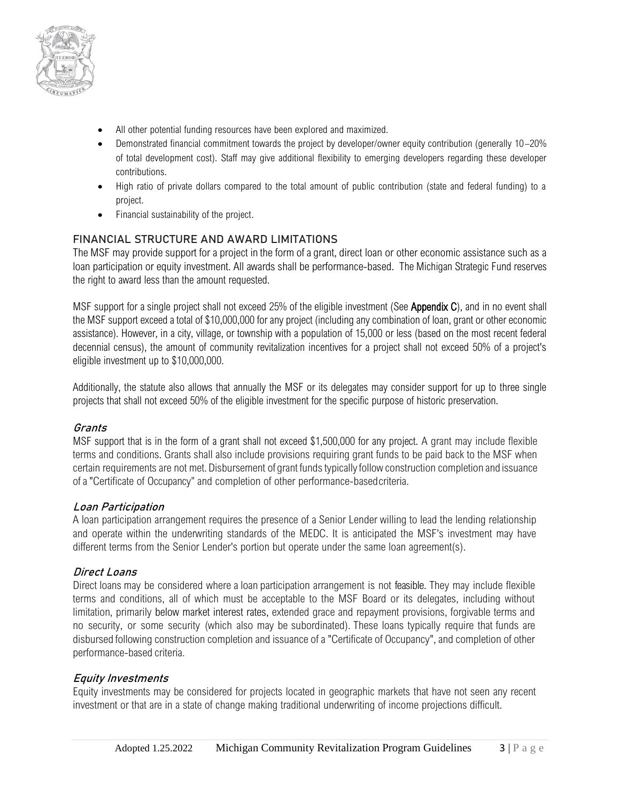

- All other potential funding resources have been explored and maximized.
- Demonstrated financial commitment towards the project by developer/owner equity contribution (generally 10–20% of total development cost). Staff may give additional flexibility to emerging developers regarding these developer contributions.
- High ratio of private dollars compared to the total amount of public contribution (state and federal funding) to a project.
- Financial sustainability of the project.

# **FINANCIAL STRUCTURE AND AWARD LIMITATIONS**

The MSF may provide support for a project in the form of a grant, direct loan or other economic assistance such as a loan participation or equity investment. All awards shall be performance-based. The Michigan Strategic Fund reserves the right to award less than the amount requested.

MSF support for a single project shall not exceed 25% of the eligible investment (See Appendix C), and in no event shall the MSF support exceed a total of \$10,000,000 for any project (including any combination of loan, grant or other economic assistance). However, in a city, village, or township with a population of 15,000 or less (based on the most recent federal decennial census), the amount of community revitalization incentives for a project shall not exceed 50% of a project's eligible investment up to \$10,000,000.

Additionally, the statute also allows that annually the MSF or its delegates may consider support for up to three single projects that shall not exceed 50% of the eligible investment for the specific purpose of historic preservation.

## **Grants**

MSF support that is in the form of a grant shall not exceed \$1,500,000 for any project. A grant may include flexible terms and conditions. Grants shall also include provisions requiring grant funds to be paid back to the MSF when certain requirements are not met.Disbursement of grant fundstypicallyfollow construction completion and issuance ofa"Certificate of Occupancy" and completion of other performance-basedcriteria.

## **Loan Participation**

A loan participation arrangement requires the presence of a Senior Lender willing to lead the lending relationship and operate within the underwriting standards of the MEDC. It is anticipated the MSF's investment may have different terms from the Senior Lender's portion but operate under the same loan agreement(s).

## **Direct Loans**

Direct loans may be considered where a loan participation arrangement is not feasible. They may include flexible terms and conditions, all of which must be acceptable to the MSF Board or its delegates, including without limitation, primarily below market interest rates, extended grace and repayment provisions, forgivable terms and no security, or some security (which also may be subordinated). These loans typically require that funds are disbursed following construction completion and issuance of a "Certificate of Occupancy", and completion of other performance-based criteria.

# **Equity Investments**

Equity investments may be considered for projects located in geographic markets that have not seen any recent investment or that are in a state of change making traditional underwriting of income projections difficult.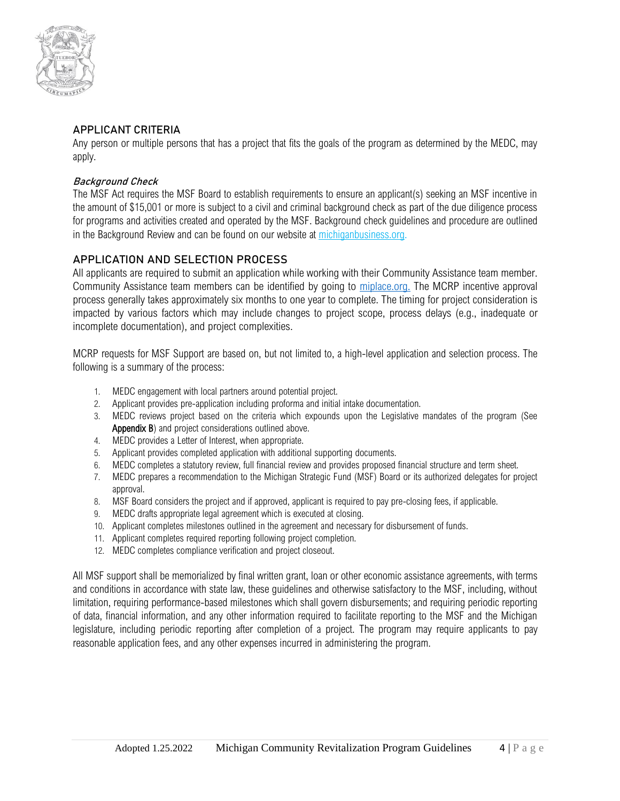

## **APPLICANT CRITERIA**

Any person or multiple persons that has a project that fits the goals of the program as determined by the MEDC, may apply.

## **Background Check**

The MSF Act requires the MSF Board to establish requirements to ensure an applicant(s) seeking an MSF incentive in the amount of \$15,001 or more is subject to a civil and criminal background check as part of the due diligence process for programs and activities created and operated by the MSF. Background check guidelines and procedure are outlined in the Background Review and can be found on our website at [michiganbusiness.org.](https://www.michiganbusiness.org/490603/contentassets/1f1113bcb04948cfb21580d374a4b614/msf-background-review-policy---revised-2019.04.23.pdf)

# **APPLICATION AND SELECTION PROCESS**

All applicants are required to submit an application while working with their Community Assistance team member. Community Assistance team members can be identified by going to [miplace.org.](https://www.miplace.org/programs/cateam-map/) The MCRP incentive approval process generally takes approximately six months to one year to complete. The timing for project consideration is impacted by various factors which may include changes to project scope, process delays (e.g., inadequate or incomplete documentation), and project complexities.

MCRP requests for MSF Support are based on, but not limited to, a high-level application and selection process. The following is a summary of the process:

- 1. MEDC engagement with local partners around potential project.
- 2. Applicant provides pre-application including proforma and initial intake documentation.
- 3. MEDC reviews project based on the criteria which expounds upon the Legislative mandates of the program (See Appendix B) and project considerations outlined above.
- 4. MEDC provides a Letter of Interest, when appropriate.
- 5. Applicant provides completed application with additional supporting documents.
- 6. MEDC completes a statutory review, full financial review and provides proposed financial structure and term sheet.
- 7. MEDC prepares a recommendation to the Michigan Strategic Fund (MSF) Board or its authorized delegates for project approval.
- 8. MSF Board considers the project and if approved, applicant is required to pay pre-closing fees, if applicable.
- 9. MEDC drafts appropriate legal agreement which is executed at closing.
- 10. Applicant completes milestones outlined in the agreement and necessary for disbursement of funds.
- 11. Applicant completes required reporting following project completion.
- 12. MEDC completes compliance verification and project closeout.

All MSF support shall be memorialized by final written grant, loan or other economic assistance agreements, with terms and conditions in accordance with state law, these guidelines and otherwise satisfactory to the MSF, including, without limitation, requiring performance-based milestones which shall govern disbursements; and requiring periodic reporting of data, financial information, and any other information required to facilitate reporting to the MSF and the Michigan legislature, including periodic reporting after completion of a project. The program may require applicants to pay reasonable application fees, and any other expenses incurred in administering the program.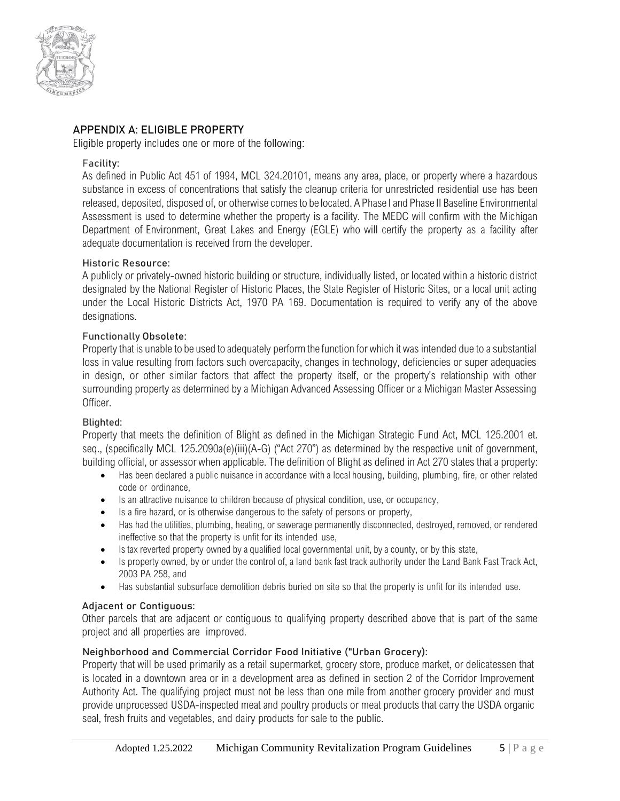

# **APPENDIX A: ELIGIBLE PROPERTY**

Eligible property includes one or more of the following:

#### Facility:

As defined in Public Act 451 of 1994, MCL 324.20101, means any area, place, or property where a hazardous substance in excess of concentrations that satisfy the cleanup criteria for unrestricted residential use has been released, deposited, disposed of, or otherwise comesto be located. A Phase Iand Phase II Baseline Environmental Assessment is used to determine whether the property is a facility. The MEDC will confirm with the Michigan Department of Environment, Great Lakes and Energy (EGLE) who will certify the property as a facility after adequate documentation is received from the developer.

#### Historic Resource:

A publicly or privately-owned historic building or structure, individually listed, or located within a historic district designated by the National Register of Historic Places, the State Register of Historic Sites, or a local unit acting under the Local Historic Districts Act, 1970 PA 169. Documentation is required to verify any of the above designations.

#### Functionally Obsolete:

Property that is unable to be used to adequately perform the function for which it was intended due to a substantial loss in value resulting from factors such overcapacity, changes in technology, deficiencies or super adequacies in design, or other similar factors that affect the property itself, or the property's relationship with other surrounding property as determined by a Michigan Advanced Assessing Officer or a Michigan Master Assessing Officer.

#### Blighted:

Property that meets the definition of Blight as defined in the Michigan Strategic Fund Act, MCL 125.2001 et. seq., (specifically MCL 125.2090a(e)(iii)(A-G) ("Act 270") as determined by the respective unit of government, building official, or assessor when applicable. The definition of Blight as defined in Act 270 states that a property:

- Has been declared a public nuisance in accordance with a local housing, building, plumbing, fire, or other related code or ordinance,
- Is an attractive nuisance to children because of physical condition, use, or occupancy,
- Is a fire hazard, or is otherwise dangerous to the safety of persons or property,
- Has had the utilities, plumbing, heating, or sewerage permanently disconnected, destroyed, removed, or rendered ineffective so that the property is unfit for its intended use,
- Is tax reverted property owned by a qualified local governmental unit, by a county, or by this state,
- Is property owned, by or under the control of, a land bank fast track authority under the Land Bank Fast Track Act, 2003 PA 258, and
- Has substantial subsurface demolition debris buried on site so that the property is unfit for its intended use.

## Adjacent or Contiguous:

Other parcels that are adjacent or contiguous to qualifying property described above that is part of the same project and all properties are improved.

## Neighborhood and Commercial Corridor Food Initiative ("Urban Grocery):

Property that will be used primarily as a retail supermarket, grocery store, produce market, or delicatessen that is located in a downtown area or in a development area as defined in section 2 of the Corridor Improvement Authority Act. The qualifying project must not be less than one mile from another grocery provider and must provide unprocessed USDA-inspected meat and poultry products or meat products that carry the USDA organic seal, fresh fruits and vegetables, and dairy products for sale to the public.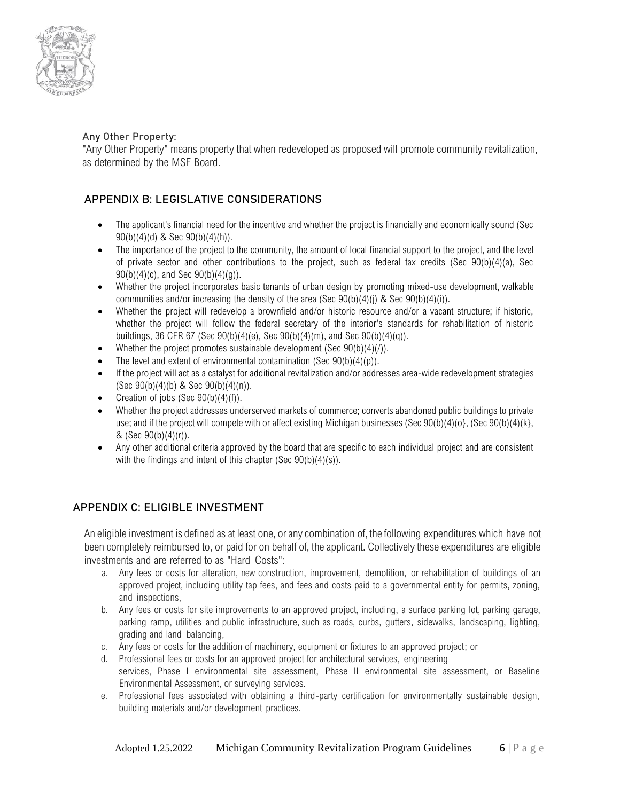

## Any Other Property:

"Any Other Property" means property that when redeveloped as proposed will promote community revitalization, as determined by the MSF Board.

# **APPENDIX B: LEGISLATIVE CONSIDERATIONS**

- The applicant's financial need for the incentive and whether the project is financially and economically sound (Sec 90(b)(4)(d) & Sec 90(b)(4)(h)).
- The importance of the project to the community, the amount of local financial support to the project, and the level of private sector and other contributions to the project, such as federal tax credits (Sec 90(b)(4)(a), Sec  $90(b)(4)(c)$ , and Sec  $90(b)(4)(q)$ ).
- Whether the project incorporates basic tenants of urban design by promoting mixed-use development, walkable communities and/or increasing the density of the area (Sec  $90(b)(4)(i)$  & Sec  $90(b)(4)(i)$ ).
- Whether the project will redevelop a brownfield and/or historic resource and/or a vacant structure; if historic, whether the project will follow the federal secretary of the interior's standards for rehabilitation of historic buildings, 36 CFR 67 (Sec 90(b)(4)(e), Sec 90(b)(4)(m), and Sec 90(b)(4)(q)).
- Whether the project promotes sustainable development (Sec  $90(b)(4)/i$ ).
- The level and extent of environmental contamination (Sec  $90(b)(4)(p)$ ).
- If the project will act as a catalyst for additional revitalization and/or addresses area-wide redevelopment strategies (Sec  $90(b)(4)(b)$  & Sec  $90(b)(4)(n)$ ).
- Creation of jobs (Sec  $90(b)(4)(f)$ ).
- Whether the project addresses underserved markets of commerce; converts abandoned public buildings to private use; and if the project will compete with or affect existing Michigan businesses (Sec 90(b)(4)(o}, (Sec 90(b)(4)(k}, & (Sec  $90(b)(4)(r)$ ).
- Any other additional criteria approved by the board that are specific to each individual project and are consistent with the findings and intent of this chapter (Sec 90(b)(4)(s)).

## **APPENDIX C: ELIGIBLE INVESTMENT**

An eligible investment is defined as at least one, or any combination of, the following expenditures which have not been completely reimbursed to, or paid for on behalf of, the applicant. Collectively these expenditures are eligible investments and are referred to as "Hard Costs":

- a. Any fees or costs for alteration, new construction, improvement, demolition, or rehabilitation of buildings of an approved project, including utility tap fees, and fees and costs paid to a governmental entity for permits, zoning, and inspections,
- b. Any fees or costs for site improvements to an approved project, including, a surface parking lot, parking garage, parking ramp, utilities and public infrastructure, such as roads, curbs, gutters, sidewalks, landscaping, lighting, grading and land balancing,
- c. Any fees or costs for the addition of machinery, equipment or fixtures to an approved project; or
- d. Professional fees or costs for an approved project for architectural services, engineering services, Phase I environmental site assessment, Phase II environmental site assessment, or Baseline Environmental Assessment, or surveying services.
- e. Professional fees associated with obtaining a third-party certification for environmentally sustainable design, building materials and/or development practices.